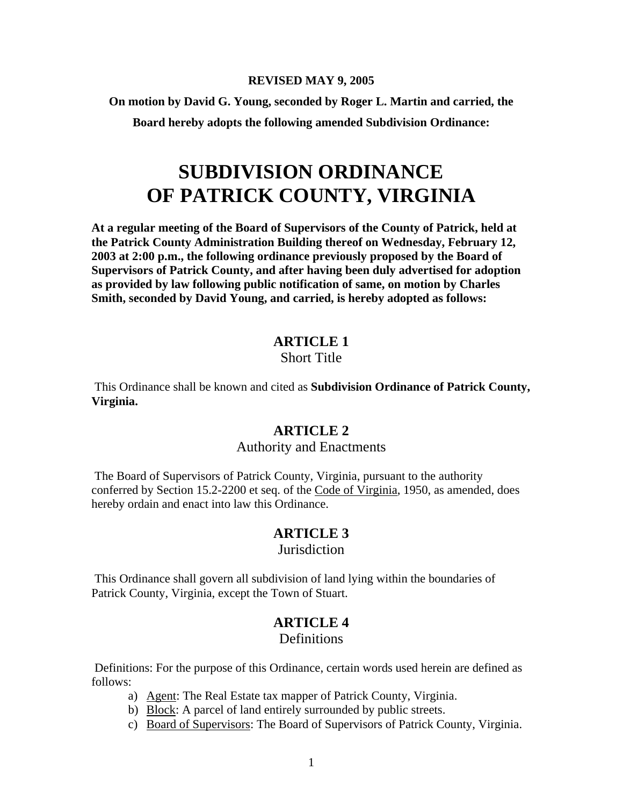#### **REVISED MAY 9, 2005**

**On motion by David G. Young, seconded by Roger L. Martin and carried, the** 

**Board hereby adopts the following amended Subdivision Ordinance:** 

# **SUBDIVISION ORDINANCE OF PATRICK COUNTY, VIRGINIA**

**At a regular meeting of the Board of Supervisors of the County of Patrick, held at the Patrick County Administration Building thereof on Wednesday, February 12, 2003 at 2:00 p.m., the following ordinance previously proposed by the Board of Supervisors of Patrick County, and after having been duly advertised for adoption as provided by law following public notification of same, on motion by Charles Smith, seconded by David Young, and carried, is hereby adopted as follows:** 

### **ARTICLE 1**

#### Short Title

 This Ordinance shall be known and cited as **Subdivision Ordinance of Patrick County, Virginia.** 

### **ARTICLE 2**

#### Authority and Enactments

 The Board of Supervisors of Patrick County, Virginia, pursuant to the authority conferred by Section 15.2-2200 et seq. of the Code of Virginia, 1950, as amended, does hereby ordain and enact into law this Ordinance.

## **ARTICLE 3**

#### **Jurisdiction**

 This Ordinance shall govern all subdivision of land lying within the boundaries of Patrick County, Virginia, except the Town of Stuart.

# **ARTICLE 4**

#### **Definitions**

 Definitions: For the purpose of this Ordinance, certain words used herein are defined as follows:

- a) Agent: The Real Estate tax mapper of Patrick County, Virginia.
- b) Block: A parcel of land entirely surrounded by public streets.
- c) Board of Supervisors: The Board of Supervisors of Patrick County, Virginia.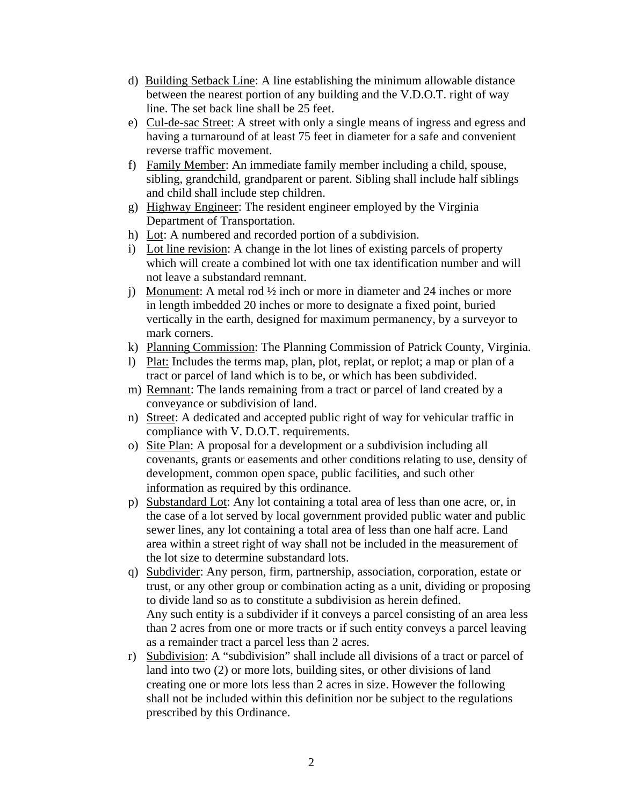- d) Building Setback Line: A line establishing the minimum allowable distance between the nearest portion of any building and the V.D.O.T. right of way line. The set back line shall be 25 feet.
- e) Cul-de-sac Street: A street with only a single means of ingress and egress and having a turnaround of at least 75 feet in diameter for a safe and convenient reverse traffic movement.
- f) Family Member: An immediate family member including a child, spouse, sibling, grandchild, grandparent or parent. Sibling shall include half siblings and child shall include step children.
- g) Highway Engineer: The resident engineer employed by the Virginia Department of Transportation.
- h) Lot: A numbered and recorded portion of a subdivision.
- i) Lot line revision: A change in the lot lines of existing parcels of property which will create a combined lot with one tax identification number and will not leave a substandard remnant.
- j) Monument: A metal rod  $\frac{1}{2}$  inch or more in diameter and 24 inches or more in length imbedded 20 inches or more to designate a fixed point, buried vertically in the earth, designed for maximum permanency, by a surveyor to mark corners.
- k) Planning Commission: The Planning Commission of Patrick County, Virginia.
- l) Plat: Includes the terms map, plan, plot, replat, or replot; a map or plan of a tract or parcel of land which is to be, or which has been subdivided.
- m) Remnant: The lands remaining from a tract or parcel of land created by a conveyance or subdivision of land.
- n) Street: A dedicated and accepted public right of way for vehicular traffic in compliance with V. D.O.T. requirements.
- o) Site Plan: A proposal for a development or a subdivision including all covenants, grants or easements and other conditions relating to use, density of development, common open space, public facilities, and such other information as required by this ordinance.
- p) Substandard Lot: Any lot containing a total area of less than one acre, or, in the case of a lot served by local government provided public water and public sewer lines, any lot containing a total area of less than one half acre. Land area within a street right of way shall not be included in the measurement of the lot size to determine substandard lots.
- q) Subdivider: Any person, firm, partnership, association, corporation, estate or trust, or any other group or combination acting as a unit, dividing or proposing to divide land so as to constitute a subdivision as herein defined. Any such entity is a subdivider if it conveys a parcel consisting of an area less than 2 acres from one or more tracts or if such entity conveys a parcel leaving as a remainder tract a parcel less than 2 acres.
- r) Subdivision: A "subdivision" shall include all divisions of a tract or parcel of land into two (2) or more lots, building sites, or other divisions of land creating one or more lots less than 2 acres in size. However the following shall not be included within this definition nor be subject to the regulations prescribed by this Ordinance.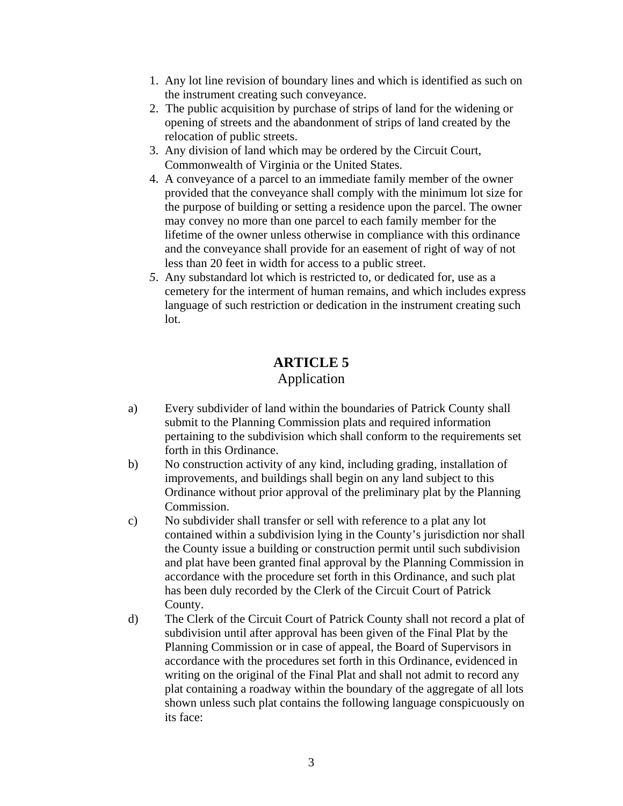- 1. Any lot line revision of boundary lines and which is identified as such on the instrument creating such conveyance.
- 2. The public acquisition by purchase of strips of land for the widening or opening of streets and the abandonment of strips of land created by the relocation of public streets.
- 3. Any division of land which may be ordered by the Circuit Court, Commonwealth of Virginia or the United States.
- 4. A conveyance of a parcel to an immediate family member of the owner provided that the conveyance shall comply with the minimum lot size for the purpose of building or setting a residence upon the parcel. The owner may convey no more than one parcel to each family member for the lifetime of the owner unless otherwise in compliance with this ordinance and the conveyance shall provide for an easement of right of way of not less than 20 feet in width for access to a public street.
- *5*. Any substandard lot which is restricted to, or dedicated for, use as a cemetery for the interment of human remains, and which includes express language of such restriction or dedication in the instrument creating such lot.

# **ARTICLE 5**

## Application

- a) Every subdivider of land within the boundaries of Patrick County shall submit to the Planning Commission plats and required information pertaining to the subdivision which shall conform to the requirements set forth in this Ordinance.
- b) No construction activity of any kind, including grading, installation of improvements, and buildings shall begin on any land subject to this Ordinance without prior approval of the preliminary plat by the Planning Commission.
- c) No subdivider shall transfer or sell with reference to a plat any lot contained within a subdivision lying in the County's jurisdiction nor shall the County issue a building or construction permit until such subdivision and plat have been granted final approval by the Planning Commission in accordance with the procedure set forth in this Ordinance, and such plat has been duly recorded by the Clerk of the Circuit Court of Patrick County.
- d) The Clerk of the Circuit Court of Patrick County shall not record a plat of subdivision until after approval has been given of the Final Plat by the Planning Commission or in case of appeal, the Board of Supervisors in accordance with the procedures set forth in this Ordinance, evidenced in writing on the original of the Final Plat and shall not admit to record any plat containing a roadway within the boundary of the aggregate of all lots shown unless such plat contains the following language conspicuously on its face: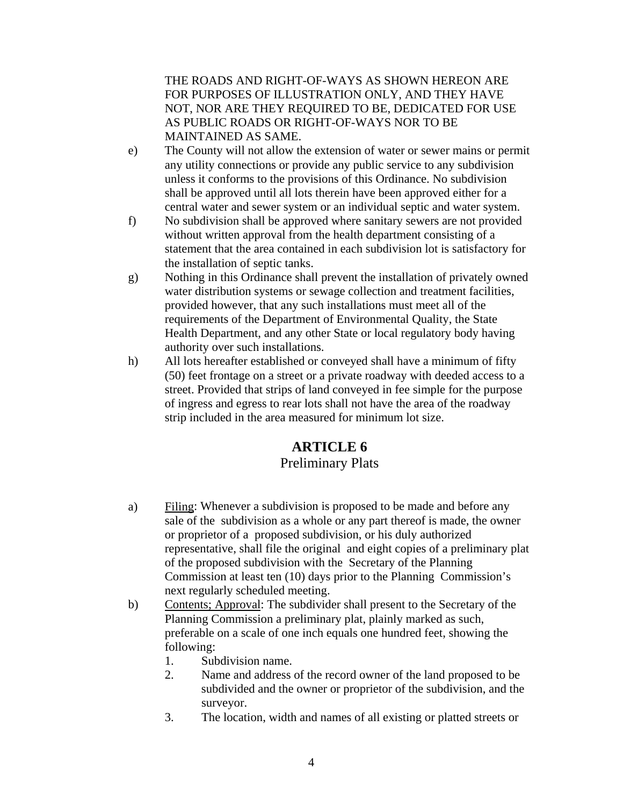THE ROADS AND RIGHT-OF-WAYS AS SHOWN HEREON ARE FOR PURPOSES OF ILLUSTRATION ONLY, AND THEY HAVE NOT, NOR ARE THEY REQUIRED TO BE, DEDICATED FOR USE AS PUBLIC ROADS OR RIGHT-OF-WAYS NOR TO BE MAINTAINED AS SAME.

- e) The County will not allow the extension of water or sewer mains or permit any utility connections or provide any public service to any subdivision unless it conforms to the provisions of this Ordinance. No subdivision shall be approved until all lots therein have been approved either for a central water and sewer system or an individual septic and water system.
- f) No subdivision shall be approved where sanitary sewers are not provided without written approval from the health department consisting of a statement that the area contained in each subdivision lot is satisfactory for the installation of septic tanks.
- g) Nothing in this Ordinance shall prevent the installation of privately owned water distribution systems or sewage collection and treatment facilities, provided however, that any such installations must meet all of the requirements of the Department of Environmental Quality, the State Health Department, and any other State or local regulatory body having authority over such installations.
- h) All lots hereafter established or conveyed shall have a minimum of fifty (50) feet frontage on a street or a private roadway with deeded access to a street. Provided that strips of land conveyed in fee simple for the purpose of ingress and egress to rear lots shall not have the area of the roadway strip included in the area measured for minimum lot size.

# **ARTICLE 6**

# Preliminary Plats

- a) Filing: Whenever a subdivision is proposed to be made and before any sale of the subdivision as a whole or any part thereof is made, the owner or proprietor of a proposed subdivision, or his duly authorized representative, shall file the original and eight copies of a preliminary plat of the proposed subdivision with the Secretary of the Planning Commission at least ten (10) days prior to the Planning Commission's next regularly scheduled meeting.
- b) Contents; Approval: The subdivider shall present to the Secretary of the Planning Commission a preliminary plat, plainly marked as such, preferable on a scale of one inch equals one hundred feet, showing the following:
	- 1. Subdivision name.
	- 2. Name and address of the record owner of the land proposed to be subdivided and the owner or proprietor of the subdivision, and the surveyor.
	- 3. The location, width and names of all existing or platted streets or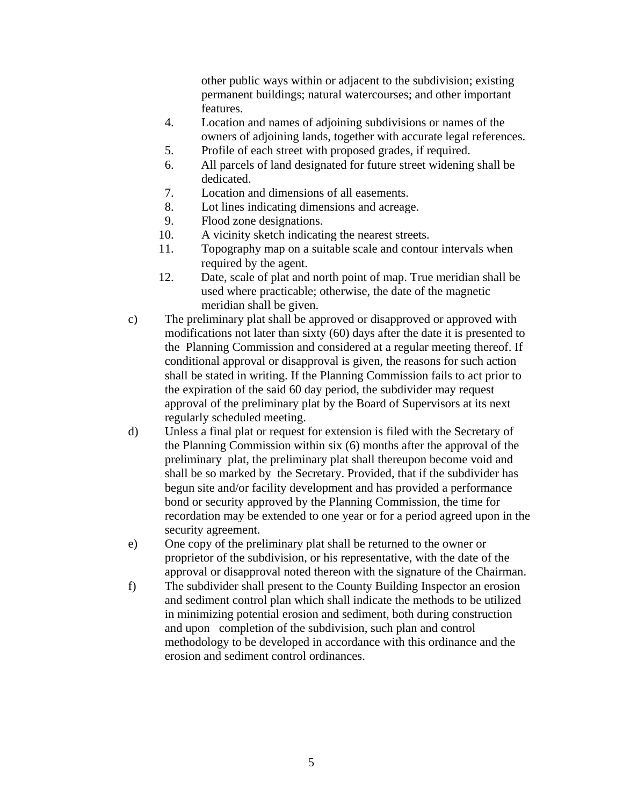other public ways within or adjacent to the subdivision; existing permanent buildings; natural watercourses; and other important features.

- 4. Location and names of adjoining subdivisions or names of the owners of adjoining lands, together with accurate legal references.
- 5. Profile of each street with proposed grades, if required.
- 6. All parcels of land designated for future street widening shall be dedicated.
- 7. Location and dimensions of all easements.
- 8. Lot lines indicating dimensions and acreage.
- 9. Flood zone designations.
- 10. A vicinity sketch indicating the nearest streets.
- 11. Topography map on a suitable scale and contour intervals when required by the agent.
- 12. Date, scale of plat and north point of map. True meridian shall be used where practicable; otherwise, the date of the magnetic meridian shall be given.
- c) The preliminary plat shall be approved or disapproved or approved with modifications not later than sixty (60) days after the date it is presented to the Planning Commission and considered at a regular meeting thereof. If conditional approval or disapproval is given, the reasons for such action shall be stated in writing. If the Planning Commission fails to act prior to the expiration of the said 60 day period, the subdivider may request approval of the preliminary plat by the Board of Supervisors at its next regularly scheduled meeting.
- d) Unless a final plat or request for extension is filed with the Secretary of the Planning Commission within six (6) months after the approval of the preliminary plat, the preliminary plat shall thereupon become void and shall be so marked by the Secretary. Provided, that if the subdivider has begun site and/or facility development and has provided a performance bond or security approved by the Planning Commission, the time for recordation may be extended to one year or for a period agreed upon in the security agreement.
- e) One copy of the preliminary plat shall be returned to the owner or proprietor of the subdivision, or his representative, with the date of the approval or disapproval noted thereon with the signature of the Chairman.
- f) The subdivider shall present to the County Building Inspector an erosion and sediment control plan which shall indicate the methods to be utilized in minimizing potential erosion and sediment, both during construction and upon completion of the subdivision, such plan and control methodology to be developed in accordance with this ordinance and the erosion and sediment control ordinances.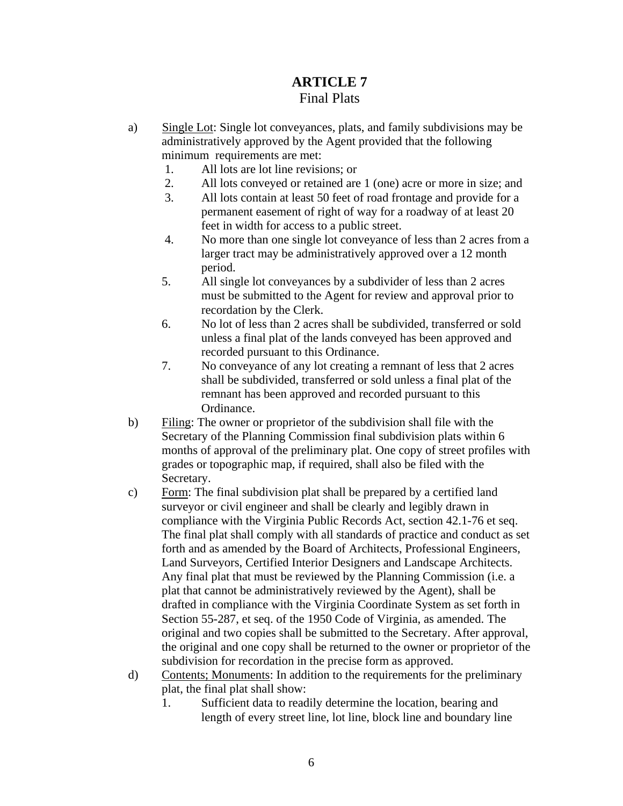# **ARTICLE 7** Final Plats

- a) Single Lot: Single lot conveyances, plats, and family subdivisions may be administratively approved by the Agent provided that the following minimum requirements are met:
	- 1. All lots are lot line revisions; or
	- 2. All lots conveyed or retained are 1 (one) acre or more in size; and
	- 3. All lots contain at least 50 feet of road frontage and provide for a permanent easement of right of way for a roadway of at least 20 feet in width for access to a public street.
	- 4. No more than one single lot conveyance of less than 2 acres from a larger tract may be administratively approved over a 12 month period.
	- 5. All single lot conveyances by a subdivider of less than 2 acres must be submitted to the Agent for review and approval prior to recordation by the Clerk.
	- 6. No lot of less than 2 acres shall be subdivided, transferred or sold unless a final plat of the lands conveyed has been approved and recorded pursuant to this Ordinance.
	- 7. No conveyance of any lot creating a remnant of less that 2 acres shall be subdivided, transferred or sold unless a final plat of the remnant has been approved and recorded pursuant to this Ordinance.
- b) Filing: The owner or proprietor of the subdivision shall file with the Secretary of the Planning Commission final subdivision plats within 6 months of approval of the preliminary plat. One copy of street profiles with grades or topographic map, if required, shall also be filed with the Secretary.
- c) Form: The final subdivision plat shall be prepared by a certified land surveyor or civil engineer and shall be clearly and legibly drawn in compliance with the Virginia Public Records Act, section 42.1-76 et seq. The final plat shall comply with all standards of practice and conduct as set forth and as amended by the Board of Architects, Professional Engineers, Land Surveyors, Certified Interior Designers and Landscape Architects. Any final plat that must be reviewed by the Planning Commission (i.e. a plat that cannot be administratively reviewed by the Agent), shall be drafted in compliance with the Virginia Coordinate System as set forth in Section 55-287, et seq. of the 1950 Code of Virginia, as amended. The original and two copies shall be submitted to the Secretary. After approval, the original and one copy shall be returned to the owner or proprietor of the subdivision for recordation in the precise form as approved.
- d) Contents; Monuments: In addition to the requirements for the preliminary plat, the final plat shall show:
	- 1. Sufficient data to readily determine the location, bearing and length of every street line, lot line, block line and boundary line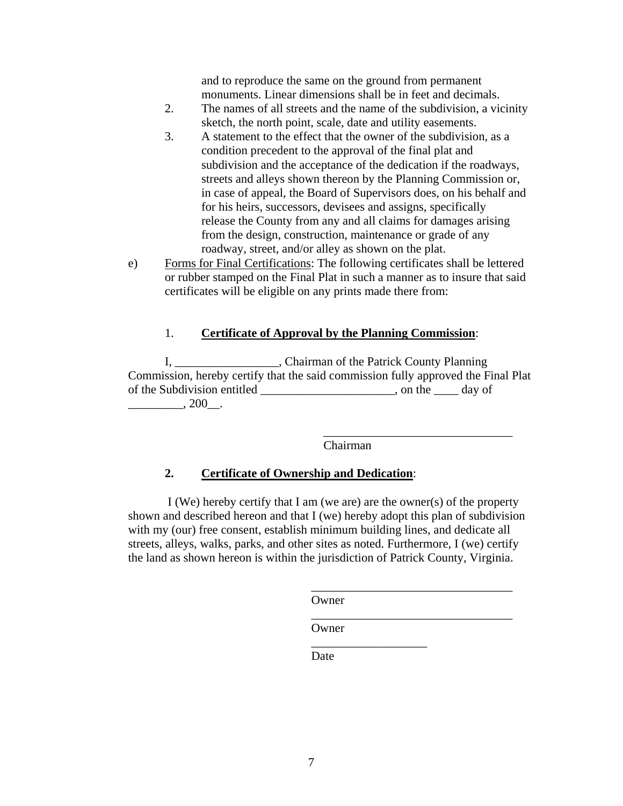and to reproduce the same on the ground from permanent monuments. Linear dimensions shall be in feet and decimals.

- 2. The names of all streets and the name of the subdivision, a vicinity sketch, the north point, scale, date and utility easements.
- 3. A statement to the effect that the owner of the subdivision, as a condition precedent to the approval of the final plat and subdivision and the acceptance of the dedication if the roadways, streets and alleys shown thereon by the Planning Commission or, in case of appeal, the Board of Supervisors does, on his behalf and for his heirs, successors, devisees and assigns, specifically release the County from any and all claims for damages arising from the design, construction, maintenance or grade of any roadway, street, and/or alley as shown on the plat.
- e) Forms for Final Certifications: The following certificates shall be lettered or rubber stamped on the Final Plat in such a manner as to insure that said certificates will be eligible on any prints made there from:

#### 1. **Certificate of Approval by the Planning Commission**:

I, Chairman of the Patrick County Planning Commission, hereby certify that the said commission fully approved the Final Plat of the Subdivision entitled \_\_\_\_\_\_\_\_\_\_\_\_\_\_\_\_\_\_\_\_\_\_, on the \_\_\_\_ day of  $, 200$ .

> $\overline{\phantom{a}}$  ,  $\overline{\phantom{a}}$  ,  $\overline{\phantom{a}}$  ,  $\overline{\phantom{a}}$  ,  $\overline{\phantom{a}}$  ,  $\overline{\phantom{a}}$  ,  $\overline{\phantom{a}}$  ,  $\overline{\phantom{a}}$  ,  $\overline{\phantom{a}}$  ,  $\overline{\phantom{a}}$  ,  $\overline{\phantom{a}}$  ,  $\overline{\phantom{a}}$  ,  $\overline{\phantom{a}}$  ,  $\overline{\phantom{a}}$  ,  $\overline{\phantom{a}}$  ,  $\overline{\phantom{a}}$ Chairman

## **2. Certificate of Ownership and Dedication**:

 I (We) hereby certify that I am (we are) are the owner(s) of the property shown and described hereon and that I (we) hereby adopt this plan of subdivision with my (our) free consent, establish minimum building lines, and dedicate all streets, alleys, walks, parks, and other sites as noted. Furthermore, I (we) certify the land as shown hereon is within the jurisdiction of Patrick County, Virginia.

> \_\_\_\_\_\_\_\_\_\_\_\_\_\_\_\_\_\_\_\_\_\_\_\_\_\_\_\_\_\_\_\_\_ **Owner**

 $\overline{\phantom{a}}$  , and the contract of the contract of the contract of the contract of the contract of the contract of the contract of the contract of the contract of the contract of the contract of the contract of the contrac Owner

> \_\_\_\_\_\_\_\_\_\_\_\_\_\_\_\_\_\_\_ Date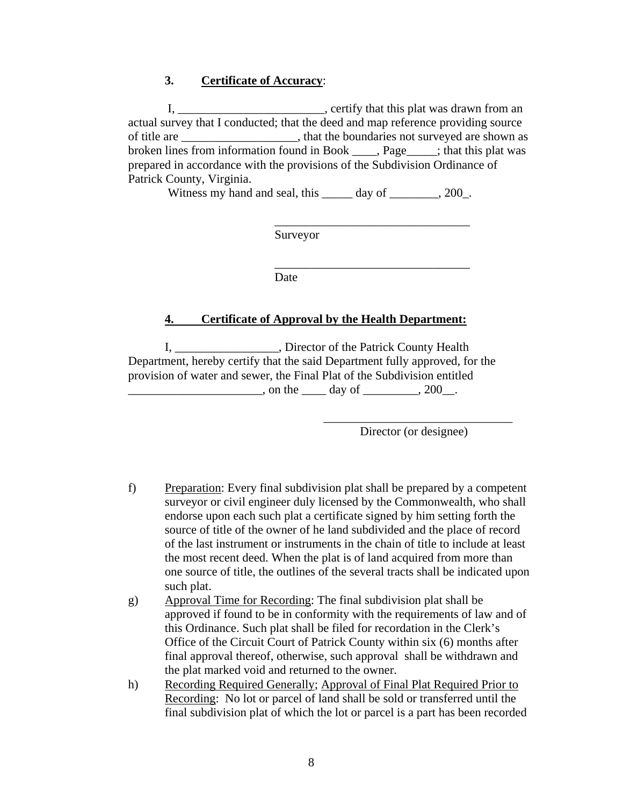#### **3. Certificate of Accuracy**:

I, \_\_\_\_\_\_\_\_\_\_\_\_\_\_\_\_\_\_\_\_\_\_\_\_\_, certify that this plat was drawn from an actual survey that I conducted; that the deed and map reference providing source of title are \_\_\_\_\_\_\_\_\_\_\_\_\_\_\_\_\_\_\_, that the boundaries not surveyed are shown as broken lines from information found in Book \_\_\_\_, Page\_\_\_\_\_; that this plat was prepared in accordance with the provisions of the Subdivision Ordinance of Patrick County, Virginia.

Witness my hand and seal, this \_\_\_\_\_\_ day of \_\_\_\_\_\_\_, 200\_.

 $\frac{1}{2}$  ,  $\frac{1}{2}$  ,  $\frac{1}{2}$  ,  $\frac{1}{2}$  ,  $\frac{1}{2}$  ,  $\frac{1}{2}$  ,  $\frac{1}{2}$  ,  $\frac{1}{2}$  ,  $\frac{1}{2}$  ,  $\frac{1}{2}$  ,  $\frac{1}{2}$  ,  $\frac{1}{2}$  ,  $\frac{1}{2}$  ,  $\frac{1}{2}$  ,  $\frac{1}{2}$  ,  $\frac{1}{2}$  ,  $\frac{1}{2}$  ,  $\frac{1}{2}$  ,  $\frac{1$ 

 $\overline{\phantom{a}}$  ,  $\overline{\phantom{a}}$  ,  $\overline{\phantom{a}}$  ,  $\overline{\phantom{a}}$  ,  $\overline{\phantom{a}}$  ,  $\overline{\phantom{a}}$  ,  $\overline{\phantom{a}}$  ,  $\overline{\phantom{a}}$  ,  $\overline{\phantom{a}}$  ,  $\overline{\phantom{a}}$  ,  $\overline{\phantom{a}}$  ,  $\overline{\phantom{a}}$  ,  $\overline{\phantom{a}}$  ,  $\overline{\phantom{a}}$  ,  $\overline{\phantom{a}}$  ,  $\overline{\phantom{a}}$ 

Surveyor

Date

#### **4. Certificate of Approval by the Health Department:**

I, \_\_\_\_\_\_\_\_\_\_\_\_\_\_\_\_\_, Director of the Patrick County Health Department, hereby certify that the said Department fully approved, for the provision of water and sewer, the Final Plat of the Subdivision entitled  $\frac{1}{2}$  on the  $\frac{1}{2}$  day of  $\frac{1}{2}$ , 200.

> $\overline{\phantom{a}}$  ,  $\overline{\phantom{a}}$  ,  $\overline{\phantom{a}}$  ,  $\overline{\phantom{a}}$  ,  $\overline{\phantom{a}}$  ,  $\overline{\phantom{a}}$  ,  $\overline{\phantom{a}}$  ,  $\overline{\phantom{a}}$  ,  $\overline{\phantom{a}}$  ,  $\overline{\phantom{a}}$  ,  $\overline{\phantom{a}}$  ,  $\overline{\phantom{a}}$  ,  $\overline{\phantom{a}}$  ,  $\overline{\phantom{a}}$  ,  $\overline{\phantom{a}}$  ,  $\overline{\phantom{a}}$ Director (or designee)

f) Preparation: Every final subdivision plat shall be prepared by a competent surveyor or civil engineer duly licensed by the Commonwealth, who shall endorse upon each such plat a certificate signed by him setting forth the source of title of the owner of he land subdivided and the place of record of the last instrument or instruments in the chain of title to include at least the most recent deed. When the plat is of land acquired from more than one source of title, the outlines of the several tracts shall be indicated upon such plat.

- g) Approval Time for Recording: The final subdivision plat shall be approved if found to be in conformity with the requirements of law and of this Ordinance. Such plat shall be filed for recordation in the Clerk's Office of the Circuit Court of Patrick County within six (6) months after final approval thereof, otherwise, such approval shall be withdrawn and the plat marked void and returned to the owner.
- h) Recording Required Generally; Approval of Final Plat Required Prior to Recording: No lot or parcel of land shall be sold or transferred until the final subdivision plat of which the lot or parcel is a part has been recorded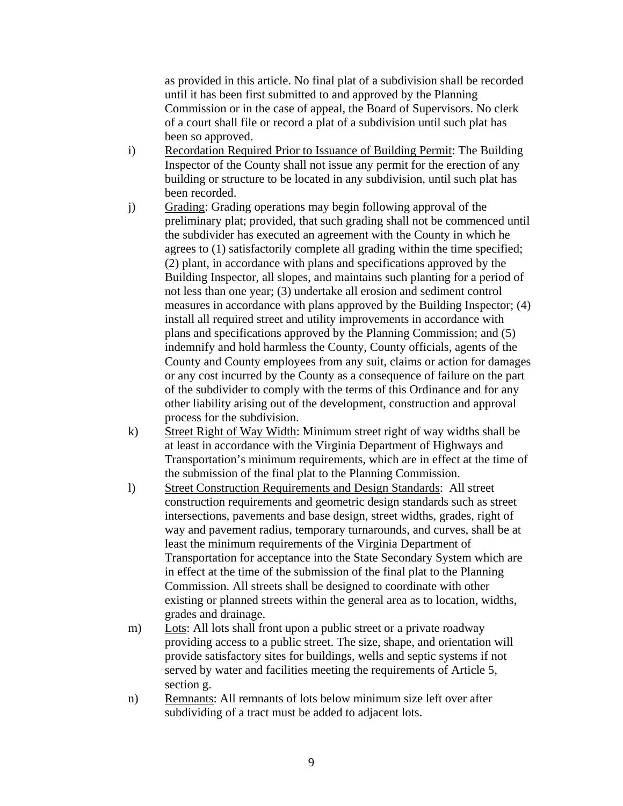as provided in this article. No final plat of a subdivision shall be recorded until it has been first submitted to and approved by the Planning Commission or in the case of appeal, the Board of Supervisors. No clerk of a court shall file or record a plat of a subdivision until such plat has been so approved.

- i) Recordation Required Prior to Issuance of Building Permit: The Building Inspector of the County shall not issue any permit for the erection of any building or structure to be located in any subdivision, until such plat has been recorded.
- j) Grading: Grading operations may begin following approval of the preliminary plat; provided, that such grading shall not be commenced until the subdivider has executed an agreement with the County in which he agrees to (1) satisfactorily complete all grading within the time specified; (2) plant, in accordance with plans and specifications approved by the Building Inspector, all slopes, and maintains such planting for a period of not less than one year; (3) undertake all erosion and sediment control measures in accordance with plans approved by the Building Inspector; (4) install all required street and utility improvements in accordance with plans and specifications approved by the Planning Commission; and (5) indemnify and hold harmless the County, County officials, agents of the County and County employees from any suit, claims or action for damages or any cost incurred by the County as a consequence of failure on the part of the subdivider to comply with the terms of this Ordinance and for any other liability arising out of the development, construction and approval process for the subdivision.
- k) Street Right of Way Width: Minimum street right of way widths shall be at least in accordance with the Virginia Department of Highways and Transportation's minimum requirements, which are in effect at the time of the submission of the final plat to the Planning Commission.
- l) Street Construction Requirements and Design Standards: All street construction requirements and geometric design standards such as street intersections, pavements and base design, street widths, grades, right of way and pavement radius, temporary turnarounds, and curves, shall be at least the minimum requirements of the Virginia Department of Transportation for acceptance into the State Secondary System which are in effect at the time of the submission of the final plat to the Planning Commission. All streets shall be designed to coordinate with other existing or planned streets within the general area as to location, widths, grades and drainage.
- m) Lots: All lots shall front upon a public street or a private roadway providing access to a public street. The size, shape, and orientation will provide satisfactory sites for buildings, wells and septic systems if not served by water and facilities meeting the requirements of Article 5, section g.
- n) Remnants: All remnants of lots below minimum size left over after subdividing of a tract must be added to adjacent lots.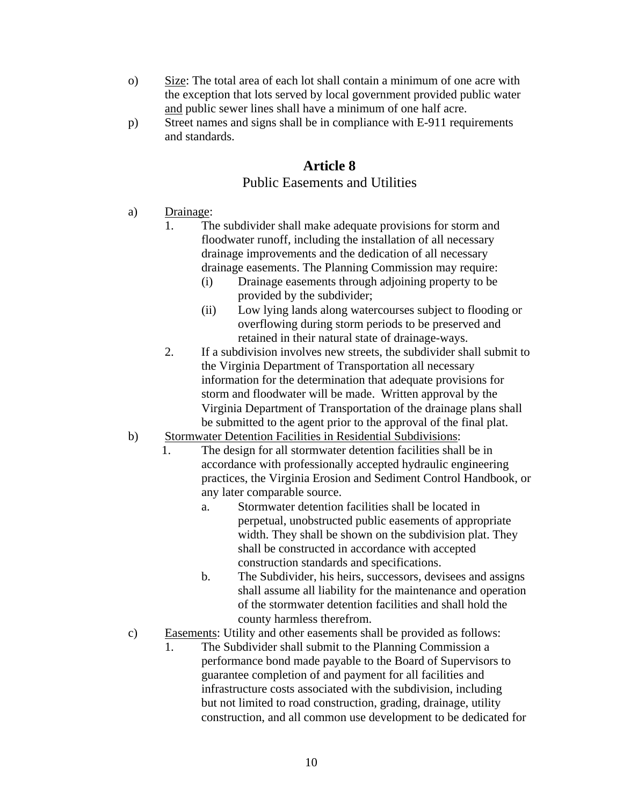- o) Size: The total area of each lot shall contain a minimum of one acre with the exception that lots served by local government provided public water and public sewer lines shall have a minimum of one half acre.
- p) Street names and signs shall be in compliance with E-911 requirements and standards.

## **Article 8**

#### Public Easements and Utilities

- a) Drainage:
	- 1. The subdivider shall make adequate provisions for storm and floodwater runoff, including the installation of all necessary drainage improvements and the dedication of all necessary drainage easements. The Planning Commission may require:
		- (i) Drainage easements through adjoining property to be provided by the subdivider;
		- (ii) Low lying lands along watercourses subject to flooding or overflowing during storm periods to be preserved and retained in their natural state of drainage-ways.
	- 2. If a subdivision involves new streets, the subdivider shall submit to the Virginia Department of Transportation all necessary information for the determination that adequate provisions for storm and floodwater will be made. Written approval by the Virginia Department of Transportation of the drainage plans shall be submitted to the agent prior to the approval of the final plat.
- b) Stormwater Detention Facilities in Residential Subdivisions:
	- 1. The design for all stormwater detention facilities shall be in accordance with professionally accepted hydraulic engineering practices, the Virginia Erosion and Sediment Control Handbook, or any later comparable source.
		- a. Stormwater detention facilities shall be located in perpetual, unobstructed public easements of appropriate width. They shall be shown on the subdivision plat. They shall be constructed in accordance with accepted construction standards and specifications.
		- b. The Subdivider, his heirs, successors, devisees and assigns shall assume all liability for the maintenance and operation of the stormwater detention facilities and shall hold the county harmless therefrom.
- c) Easements: Utility and other easements shall be provided as follows:
	- 1. The Subdivider shall submit to the Planning Commission a performance bond made payable to the Board of Supervisors to guarantee completion of and payment for all facilities and infrastructure costs associated with the subdivision, including but not limited to road construction, grading, drainage, utility construction, and all common use development to be dedicated for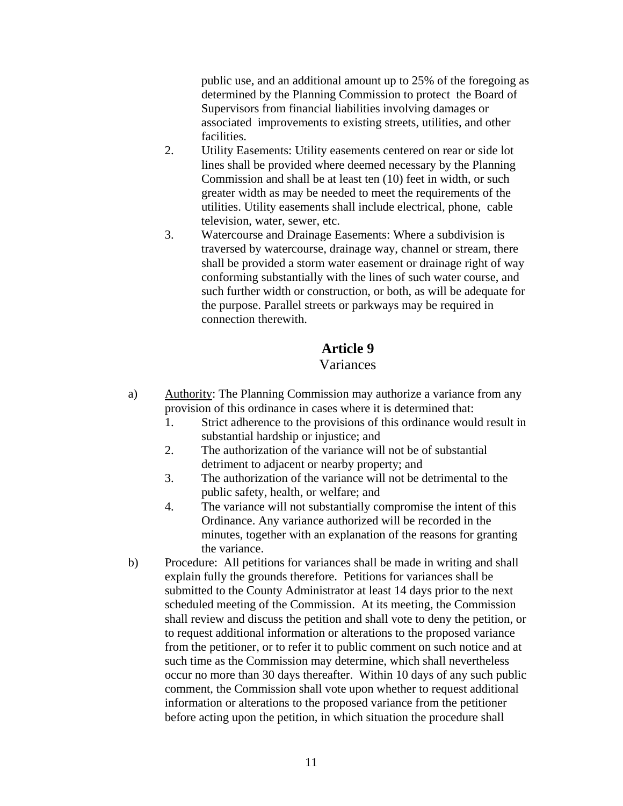public use, and an additional amount up to 25% of the foregoing as determined by the Planning Commission to protect the Board of Supervisors from financial liabilities involving damages or associated improvements to existing streets, utilities, and other facilities.

- 2. Utility Easements: Utility easements centered on rear or side lot lines shall be provided where deemed necessary by the Planning Commission and shall be at least ten (10) feet in width, or such greater width as may be needed to meet the requirements of the utilities. Utility easements shall include electrical, phone, cable television, water, sewer, etc.
- 3. Watercourse and Drainage Easements: Where a subdivision is traversed by watercourse, drainage way, channel or stream, there shall be provided a storm water easement or drainage right of way conforming substantially with the lines of such water course, and such further width or construction, or both, as will be adequate for the purpose. Parallel streets or parkways may be required in connection therewith.

# **Article 9**

### Variances

- a) Authority: The Planning Commission may authorize a variance from any provision of this ordinance in cases where it is determined that:
	- 1. Strict adherence to the provisions of this ordinance would result in substantial hardship or injustice; and
	- 2. The authorization of the variance will not be of substantial detriment to adjacent or nearby property; and
	- 3. The authorization of the variance will not be detrimental to the public safety, health, or welfare; and
	- 4. The variance will not substantially compromise the intent of this Ordinance. Any variance authorized will be recorded in the minutes, together with an explanation of the reasons for granting the variance.
- b) Procedure: All petitions for variances shall be made in writing and shall explain fully the grounds therefore. Petitions for variances shall be submitted to the County Administrator at least 14 days prior to the next scheduled meeting of the Commission. At its meeting, the Commission shall review and discuss the petition and shall vote to deny the petition, or to request additional information or alterations to the proposed variance from the petitioner, or to refer it to public comment on such notice and at such time as the Commission may determine, which shall nevertheless occur no more than 30 days thereafter. Within 10 days of any such public comment, the Commission shall vote upon whether to request additional information or alterations to the proposed variance from the petitioner before acting upon the petition, in which situation the procedure shall